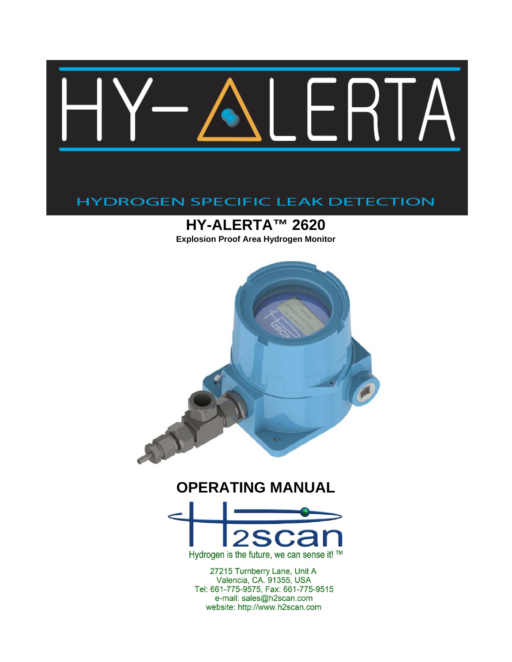# **HYDROGEN SPECIFIC LEAK DETECTION**

# **HY-ALERTA™ 2620**

**Explosion Proof Area Hydrogen Monitor** 



# **OPERATING MANUAL**



27215 Turnberry Lane, Unit A Valencia, CA. 91355, USA Tel: 661-775-9575, Fax: 661-775-9515 e-mail: sales@h2scan.com website: http://www.h2scan.com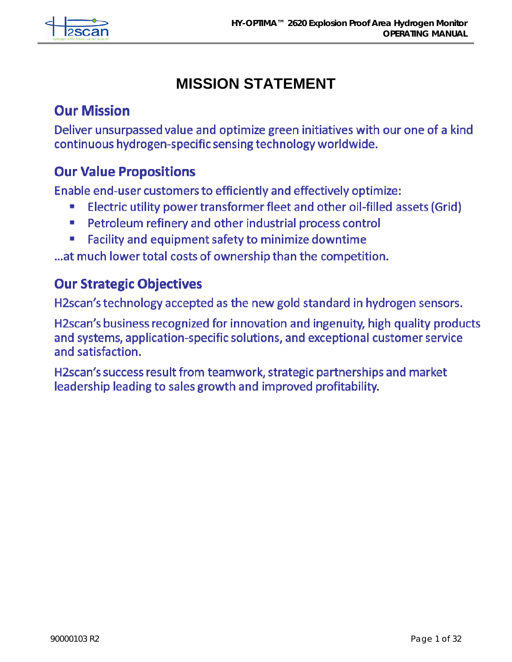

# **MISSION STATEMENT**

# **Our Mission**

Deliver unsurpassed value and optimize green initiatives with our one of a kind continuous hydrogen-specific sensing technology worldwide.

# **Our Value Propositions**

Enable end-user customers to efficiently and effectively optimize:

- Electric utility power transformer fleet and other oil-filled assets (Grid) L.
- Petroleum refinery and other industrial process control  $\mathcal{L}_{\mathcal{A}}$
- Facility and equipment safety to minimize downtime  $\overline{\phantom{a}}$

... at much lower total costs of ownership than the competition.

# **Our Strategic Objectives**

H2scan's technology accepted as the new gold standard in hydrogen sensors.

H2scan's business recognized for innovation and ingenuity, high quality products and systems, application-specific solutions, and exceptional customer service and satisfaction.

H2scan's success result from teamwork, strategic partnerships and market leadership leading to sales growth and improved profitability.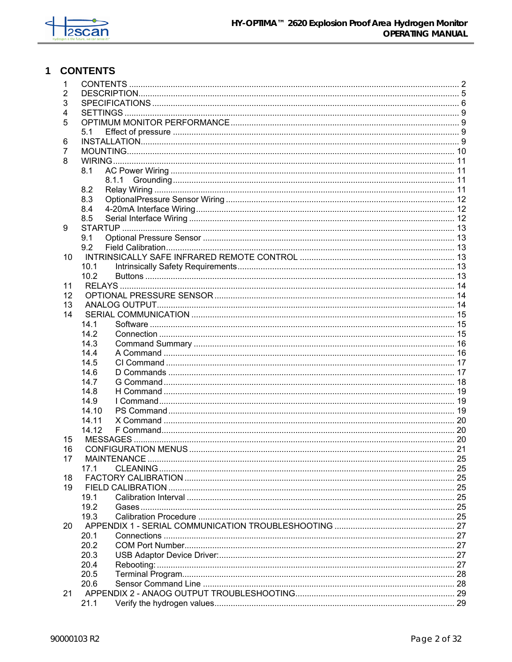

# 1 CONTENTS

| 1              | <b>CONTENTS</b> |  |
|----------------|-----------------|--|
| 2              |                 |  |
| 3              |                 |  |
| 4              | <b>SETTINGS</b> |  |
| 5              |                 |  |
|                |                 |  |
| 6              |                 |  |
| $\overline{7}$ |                 |  |
| 8              |                 |  |
|                |                 |  |
|                | 8.1             |  |
|                | 8.1.1           |  |
|                | 8.2             |  |
|                | 8.3             |  |
|                | 8.4             |  |
|                | 8.5             |  |
| 9              |                 |  |
|                | 9.1             |  |
|                | 9.2             |  |
| 10             |                 |  |
|                | 10.1            |  |
|                | 10.2            |  |
| 11             |                 |  |
| 12             |                 |  |
|                |                 |  |
| 13             |                 |  |
| 14             |                 |  |
|                | 14.1            |  |
|                | 14.2            |  |
|                | 14.3            |  |
|                | 14.4            |  |
|                | 14.5            |  |
|                | 14.6            |  |
|                | 14.7            |  |
|                | 14.8            |  |
|                | 14.9            |  |
|                | 14.10           |  |
|                | 14.11           |  |
|                | 14.12           |  |
|                |                 |  |
| 15             |                 |  |
| 16             |                 |  |
| 17             |                 |  |
|                | 17.1            |  |
| 18             |                 |  |
| 19             |                 |  |
|                | 19.1            |  |
|                | 19.2            |  |
|                | 19.3            |  |
| 20             |                 |  |
|                | 20.1            |  |
|                | 20.2            |  |
|                | 20.3            |  |
|                | 20.4            |  |
|                | 20.5            |  |
|                |                 |  |
|                | 20.6            |  |
| 21             |                 |  |
|                | 21.1            |  |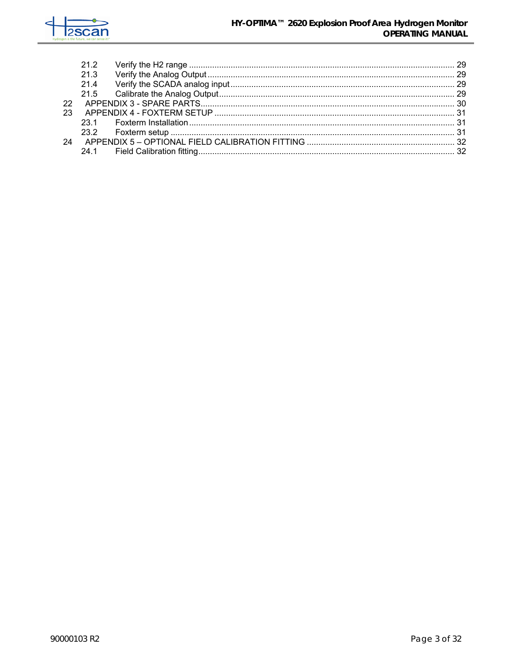

| 21.3 |  |
|------|--|
| 21.4 |  |
|      |  |
|      |  |
|      |  |
|      |  |
|      |  |
|      |  |
|      |  |
|      |  |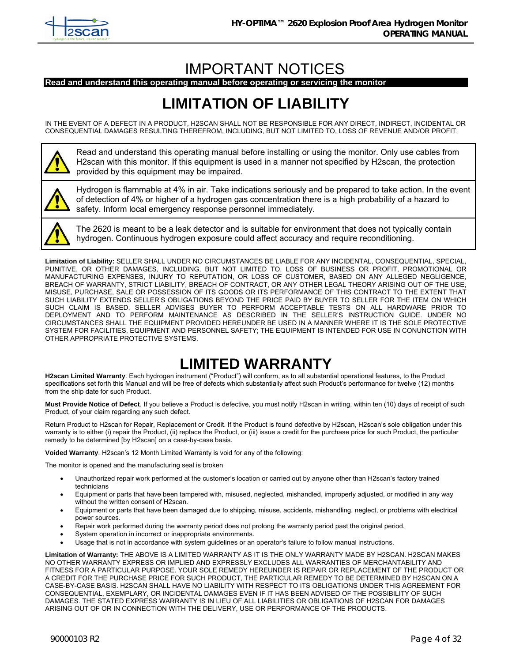

# IMPORTANT NOTICES

**Read and understand this operating manual before operating or servicing the monitor** 

# **LIMITATION OF LIABILITY**

IN THE EVENT OF A DEFECT IN A PRODUCT, H2SCAN SHALL NOT BE RESPONSIBLE FOR ANY DIRECT, INDIRECT, INCIDENTAL OR CONSEQUENTIAL DAMAGES RESULTING THEREFROM, INCLUDING, BUT NOT LIMITED TO, LOSS OF REVENUE AND/OR PROFIT.

Read and understand this operating manual before installing or using the monitor. Only use cables from H2scan with this monitor. If this equipment is used in a manner not specified by H2scan, the protection provided by this equipment may be impaired.



Hydrogen is flammable at 4% in air. Take indications seriously and be prepared to take action. In the event of detection of 4% or higher of a hydrogen gas concentration there is a high probability of a hazard to safety. Inform local emergency response personnel immediately.



The 2620 is meant to be a leak detector and is suitable for environment that does not typically contain hydrogen. Continuous hydrogen exposure could affect accuracy and require reconditioning.

**Limitation of Liability:** SELLER SHALL UNDER NO CIRCUMSTANCES BE LIABLE FOR ANY INCIDENTAL, CONSEQUENTIAL, SPECIAL, PUNITIVE, OR OTHER DAMAGES, INCLUDING, BUT NOT LIMITED TO, LOSS OF BUSINESS OR PROFIT, PROMOTIONAL OR MANUFACTURING EXPENSES, INJURY TO REPUTATION, OR LOSS OF CUSTOMER, BASED ON ANY ALLEGED NEGLIGENCE, BREACH OF WARRANTY, STRICT LIABILITY, BREACH OF CONTRACT, OR ANY OTHER LEGAL THEORY ARISING OUT OF THE USE, MISUSE, PURCHASE, SALE OR POSSESSION OF ITS GOODS OR ITS PERFORMANCE OF THIS CONTRACT TO THE EXTENT THAT SUCH LIABILITY EXTENDS SELLER'S OBLIGATIONS BEYOND THE PRICE PAID BY BUYER TO SELLER FOR THE ITEM ON WHICH SUCH CLAIM IS BASED. SELLER ADVISES BUYER TO PERFORM ACCEPTABLE TESTS ON ALL HARDWARE PRIOR TO DEPLOYMENT AND TO PERFORM MAINTENANCE AS DESCRIBED IN THE SELLER'S INSTRUCTION GUIDE. UNDER NO CIRCUMSTANCES SHALL THE EQUIPMENT PROVIDED HEREUNDER BE USED IN A MANNER WHERE IT IS THE SOLE PROTECTIVE SYSTEM FOR FACILITIES, EQUIPMENT AND PERSONNEL SAFETY; THE EQUIPMENT IS INTENDED FOR USE IN CONUNCTION WITH OTHER APPROPRIATE PROTECTIVE SYSTEMS.

# **LIMITED WARRANTY**

**H2scan Limited Warranty**. Each hydrogen instrument ("Product") will conform, as to all substantial operational features, to the Product specifications set forth this Manual and will be free of defects which substantially affect such Product's performance for twelve (12) months from the ship date for such Product.

**Must Provide Notice of Defect**. If you believe a Product is defective, you must notify H2scan in writing, within ten (10) days of receipt of such Product, of your claim regarding any such defect.

Return Product to H2scan for Repair, Replacement or Credit. If the Product is found defective by H2scan, H2scan's sole obligation under this warranty is to either (i) repair the Product, (ii) replace the Product, or (iii) issue a credit for the purchase price for such Product, the particular remedy to be determined [by H2scan] on a case-by-case basis.

**Voided Warranty**. H2scan's 12 Month Limited Warranty is void for any of the following:

The monitor is opened and the manufacturing seal is broken

- Unauthorized repair work performed at the customer's location or carried out by anyone other than H2scan's factory trained technicians
- Equipment or parts that have been tampered with, misused, neglected, mishandled, improperly adjusted, or modified in any way without the written consent of H2scan.
- Equipment or parts that have been damaged due to shipping, misuse, accidents, mishandling, neglect, or problems with electrical power sources.
- Repair work performed during the warranty period does not prolong the warranty period past the original period.
- System operation in incorrect or inappropriate environments.
- Usage that is not in accordance with system guidelines or an operator's failure to follow manual instructions.

**Limitation of Warranty:** THE ABOVE IS A LIMITED WARRANTY AS IT IS THE ONLY WARRANTY MADE BY H2SCAN. H2SCAN MAKES NO OTHER WARRANTY EXPRESS OR IMPLIED AND EXPRESSLY EXCLUDES ALL WARRANTIES OF MERCHANTABILITY AND FITNESS FOR A PARTICULAR PURPOSE. YOUR SOLE REMEDY HEREUNDER IS REPAIR OR REPLACEMENT OF THE PRODUCT OR A CREDIT FOR THE PURCHASE PRICE FOR SUCH PRODUCT, THE PARTICULAR REMEDY TO BE DETERMINED BY H2SCAN ON A CASE-BY-CASE BASIS. H2SCAN SHALL HAVE NO LIABILITY WITH RESPECT TO ITS OBLIGATIONS UNDER THIS AGREEMENT FOR CONSEQUENTIAL, EXEMPLARY, OR INCIDENTAL DAMAGES EVEN IF IT HAS BEEN ADVISED OF THE POSSIBILITY OF SUCH DAMAGES. THE STATED EXPRESS WARRANTY IS IN LIEU OF ALL LIABILITIES OR OBLIGATIONS OF H2SCAN FOR DAMAGES ARISING OUT OF OR IN CONNECTION WITH THE DELIVERY, USE OR PERFORMANCE OF THE PRODUCTS.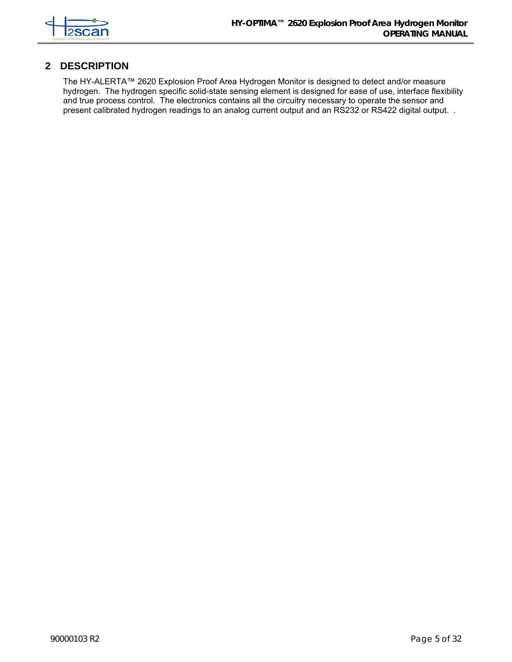

### **2 DESCRIPTION**

The HY-ALERTA™ 2620 Explosion Proof Area Hydrogen Monitor is designed to detect and/or measure hydrogen. The hydrogen specific solid-state sensing element is designed for ease of use, interface flexibility and true process control. The electronics contains all the circuitry necessary to operate the sensor and present calibrated hydrogen readings to an analog current output and an RS232 or RS422 digital output. .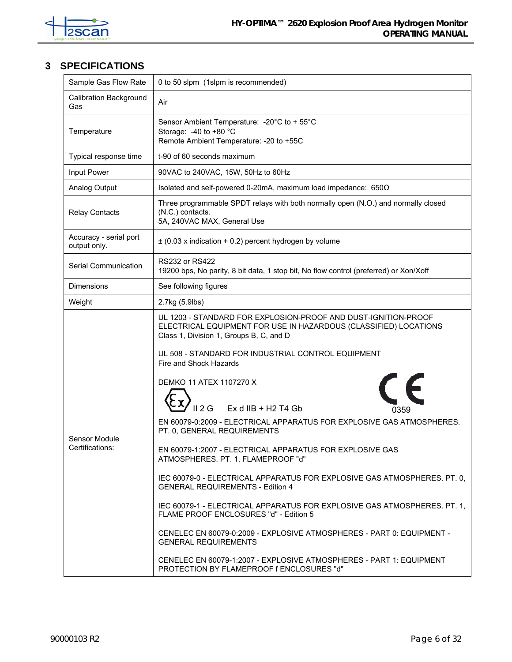

# **3 SPECIFICATIONS**

| Sample Gas Flow Rate                   | 0 to 50 slpm (1slpm is recommended)                                                                                                                                                                                                                                                                                                                                                                                                                                                                                                                                                                                                                                                                                                                                                                                                                                                                                                                                                                                  |
|----------------------------------------|----------------------------------------------------------------------------------------------------------------------------------------------------------------------------------------------------------------------------------------------------------------------------------------------------------------------------------------------------------------------------------------------------------------------------------------------------------------------------------------------------------------------------------------------------------------------------------------------------------------------------------------------------------------------------------------------------------------------------------------------------------------------------------------------------------------------------------------------------------------------------------------------------------------------------------------------------------------------------------------------------------------------|
| <b>Calibration Background</b><br>Gas   | Air                                                                                                                                                                                                                                                                                                                                                                                                                                                                                                                                                                                                                                                                                                                                                                                                                                                                                                                                                                                                                  |
| Temperature                            | Sensor Ambient Temperature: -20°C to + 55°C<br>Storage: -40 to +80 °C<br>Remote Ambient Temperature: - 20 to +55C                                                                                                                                                                                                                                                                                                                                                                                                                                                                                                                                                                                                                                                                                                                                                                                                                                                                                                    |
| Typical response time                  | t-90 of 60 seconds maximum                                                                                                                                                                                                                                                                                                                                                                                                                                                                                                                                                                                                                                                                                                                                                                                                                                                                                                                                                                                           |
| Input Power                            | 90VAC to 240VAC, 15W, 50Hz to 60Hz                                                                                                                                                                                                                                                                                                                                                                                                                                                                                                                                                                                                                                                                                                                                                                                                                                                                                                                                                                                   |
| Analog Output                          | Isolated and self-powered 0-20mA, maximum load impedance: $650\Omega$                                                                                                                                                                                                                                                                                                                                                                                                                                                                                                                                                                                                                                                                                                                                                                                                                                                                                                                                                |
| <b>Relay Contacts</b>                  | Three programmable SPDT relays with both normally open (N.O.) and normally closed<br>(N.C.) contacts.<br>5A, 240VAC MAX, General Use                                                                                                                                                                                                                                                                                                                                                                                                                                                                                                                                                                                                                                                                                                                                                                                                                                                                                 |
| Accuracy - serial port<br>output only. | $\pm$ (0.03 x indication + 0.2) percent hydrogen by volume                                                                                                                                                                                                                                                                                                                                                                                                                                                                                                                                                                                                                                                                                                                                                                                                                                                                                                                                                           |
| Serial Communication                   | <b>RS232 or RS422</b><br>19200 bps, No parity, 8 bit data, 1 stop bit, No flow control (preferred) or Xon/Xoff                                                                                                                                                                                                                                                                                                                                                                                                                                                                                                                                                                                                                                                                                                                                                                                                                                                                                                       |
| <b>Dimensions</b>                      | See following figures                                                                                                                                                                                                                                                                                                                                                                                                                                                                                                                                                                                                                                                                                                                                                                                                                                                                                                                                                                                                |
| Weight                                 | 2.7kg (5.9lbs)                                                                                                                                                                                                                                                                                                                                                                                                                                                                                                                                                                                                                                                                                                                                                                                                                                                                                                                                                                                                       |
| Sensor Module<br>Certifications:       | UL 1203 - STANDARD FOR EXPLOSION-PROOF AND DUST-IGNITION-PROOF<br>ELECTRICAL EQUIPMENT FOR USE IN HAZARDOUS (CLASSIFIED) LOCATIONS<br>Class 1, Division 1, Groups B, C, and D<br>UL 508 - STANDARD FOR INDUSTRIAL CONTROL EQUIPMENT<br>Fire and Shock Hazards<br>DEMKO 11 ATEX 1107270 X<br>Ex d IIB + H2 T4 Gb<br>II 2 G<br>0359<br>EN 60079-0:2009 - ELECTRICAL APPARATUS FOR EXPLOSIVE GAS ATMOSPHERES.<br>PT. 0, GENERAL REQUIREMENTS<br>EN 60079-1:2007 - ELECTRICAL APPARATUS FOR EXPLOSIVE GAS<br>ATMOSPHERES. PT. 1, FLAMEPROOF "d"<br>IEC 60079-0 - ELECTRICAL APPARATUS FOR EXPLOSIVE GAS ATMOSPHERES. PT. 0,<br><b>GENERAL REQUIREMENTS - Edition 4</b><br>IEC 60079-1 - ELECTRICAL APPARATUS FOR EXPLOSIVE GAS ATMOSPHERES. PT. 1,<br>FLAME PROOF ENCLOSURES "d" - Edition 5<br>CENELEC EN 60079-0:2009 - EXPLOSIVE ATMOSPHERES - PART 0: EQUIPMENT -<br><b>GENERAL REQUIREMENTS</b><br>CENELEC EN 60079-1:2007 - EXPLOSIVE ATMOSPHERES - PART 1: EQUIPMENT<br>PROTECTION BY FLAMEPROOF f ENCLOSURES "d" |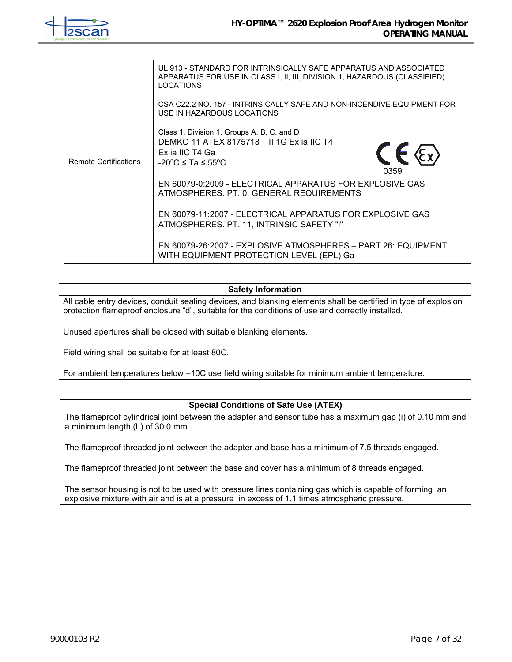

|                              | UL 913 - STANDARD FOR INTRINSICALLY SAFE APPARATUS AND ASSOCIATED<br>APPARATUS FOR USE IN CLASS I, II, III, DIVISION 1, HAZARDOUS (CLASSIFIED)<br><b>LOCATIONS</b> |
|------------------------------|--------------------------------------------------------------------------------------------------------------------------------------------------------------------|
|                              | CSA C22.2 NO. 157 - INTRINSICALLY SAFE AND NON-INCENDIVE EQUIPMENT FOR<br>USE IN HAZARDOUS LOCATIONS                                                               |
| <b>Remote Certifications</b> | Class 1, Division 1, Groups A, B, C, and D<br>$C \in \langle \epsilon_{\rm x} \rangle$<br>Ex ia IIC T4 Ga<br>$-20^{\circ}$ C $\leq$ Ta $\leq$ 55°C<br>0359         |
|                              | EN 60079-0:2009 - ELECTRICAL APPARATUS FOR EXPLOSIVE GAS<br>ATMOSPHERES. PT. 0, GENERAL REQUIREMENTS                                                               |
|                              | EN 60079-11:2007 - ELECTRICAL APPARATUS FOR EXPLOSIVE GAS<br>ATMOSPHERES. PT. 11, INTRINSIC SAFETY "i"                                                             |
|                              | EN 60079-26:2007 - EXPLOSIVE ATMOSPHERES - PART 26: EQUIPMENT<br>WITH EQUIPMENT PROTECTION LEVEL (EPL) Ga                                                          |

#### **Safety Information**

All cable entry devices, conduit sealing devices, and blanking elements shall be certified in type of explosion protection flameproof enclosure "d", suitable for the conditions of use and correctly installed.

Unused apertures shall be closed with suitable blanking elements.

Field wiring shall be suitable for at least 80C.

For ambient temperatures below –10C use field wiring suitable for minimum ambient temperature.

#### **Special Conditions of Safe Use (ATEX)**

The flameproof cylindrical joint between the adapter and sensor tube has a maximum gap (i) of 0.10 mm and a minimum length (L) of 30.0 mm.

The flameproof threaded joint between the adapter and base has a minimum of 7.5 threads engaged.

The flameproof threaded joint between the base and cover has a minimum of 8 threads engaged.

The sensor housing is not to be used with pressure lines containing gas which is capable of forming an explosive mixture with air and is at a pressure in excess of 1.1 times atmospheric pressure.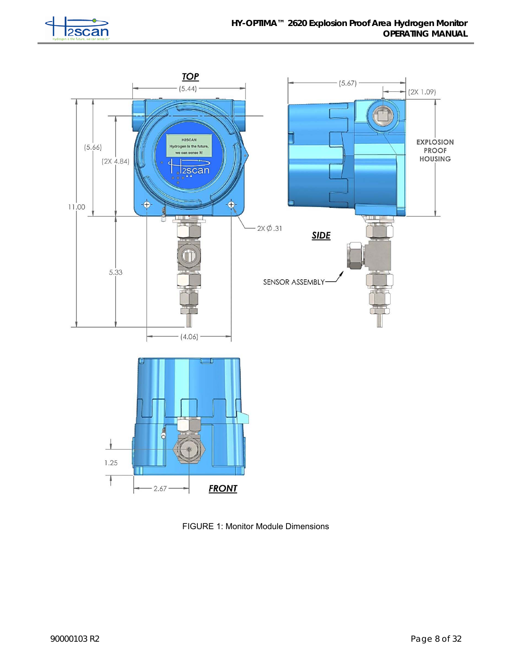



FIGURE 1: Monitor Module Dimensions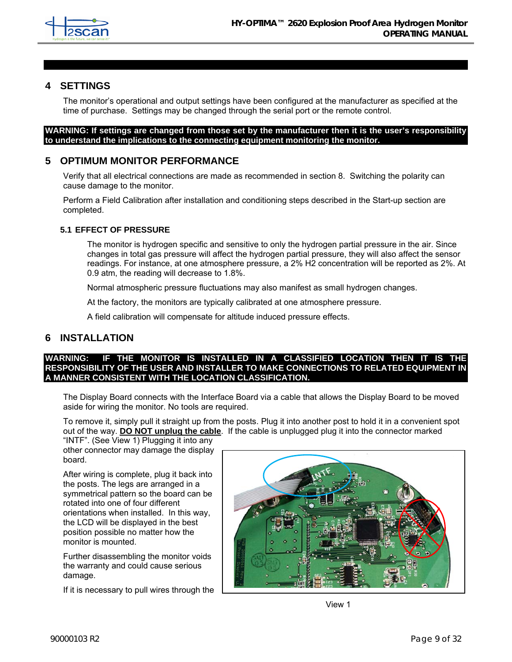

### **4 SETTINGS**

The monitor's operational and output settings have been configured at the manufacturer as specified at the time of purchase. Settings may be changed through the serial port or the remote control.

**WARNING: If settings are changed from those set by the manufacturer then it is the user's responsibility to understand the implications to the connecting equipment monitoring the monitor.** 

### **5 OPTIMUM MONITOR PERFORMANCE**

Verify that all electrical connections are made as recommended in section 8. Switching the polarity can cause damage to the monitor.

Perform a Field Calibration after installation and conditioning steps described in the Start-up section are completed.

#### **5.1 EFFECT OF PRESSURE**

The monitor is hydrogen specific and sensitive to only the hydrogen partial pressure in the air. Since changes in total gas pressure will affect the hydrogen partial pressure, they will also affect the sensor readings. For instance, at one atmosphere pressure, a 2% H2 concentration will be reported as 2%. At 0.9 atm, the reading will decrease to 1.8%.

Normal atmospheric pressure fluctuations may also manifest as small hydrogen changes.

At the factory, the monitors are typically calibrated at one atmosphere pressure.

A field calibration will compensate for altitude induced pressure effects.

#### **6 INSTALLATION**

#### **WARNING: IF THE MONITOR IS INSTALLED IN A CLASSIFIED LOCATION THEN IT IS THE RESPONSIBILITY OF THE USER AND INSTALLER TO MAKE CONNECTIONS TO RELATED EQUIPMENT IN A MANNER CONSISTENT WITH THE LOCATION CLASSIFICATION.**

The Display Board connects with the Interface Board via a cable that allows the Display Board to be moved aside for wiring the monitor. No tools are required.

To remove it, simply pull it straight up from the posts. Plug it into another post to hold it in a convenient spot out of the way. **DO NOT unplug the cable**. If the cable is unplugged plug it into the connector marked

"INTF". (See View 1) Plugging it into any other connector may damage the display board.

After wiring is complete, plug it back into the posts. The legs are arranged in a symmetrical pattern so the board can be rotated into one of four different orientations when installed. In this way, the LCD will be displayed in the best position possible no matter how the monitor is mounted.

Further disassembling the monitor voids the warranty and could cause serious damage.

If it is necessary to pull wires through the



View 1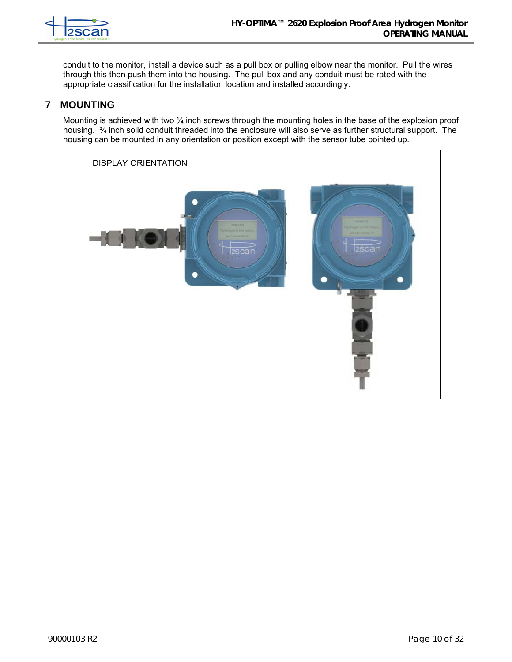

conduit to the monitor, install a device such as a pull box or pulling elbow near the monitor. Pull the wires through this then push them into the housing. The pull box and any conduit must be rated with the appropriate classification for the installation location and installed accordingly.

### **7 MOUNTING**

Mounting is achieved with two ¼ inch screws through the mounting holes in the base of the explosion proof housing. ¾ inch solid conduit threaded into the enclosure will also serve as further structural support. The housing can be mounted in any orientation or position except with the sensor tube pointed up.

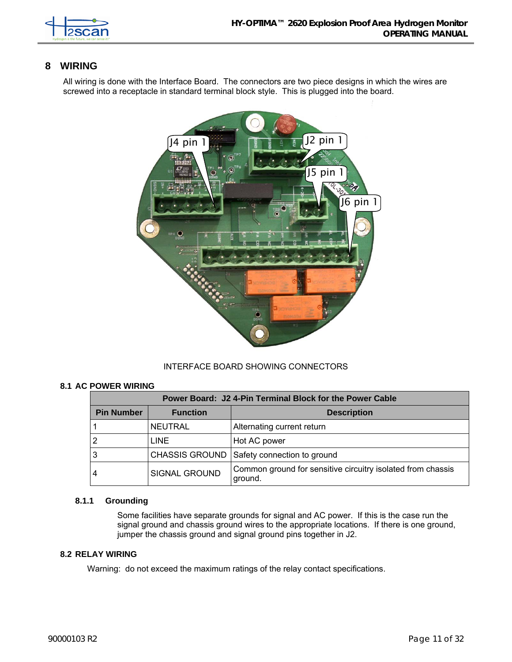

### **8 WIRING**

All wiring is done with the Interface Board. The connectors are two piece designs in which the wires are screwed into a receptacle in standard terminal block style. This is plugged into the board.



#### INTERFACE BOARD SHOWING CONNECTORS

#### **8.1 AC POWER WIRING**

| Power Board: J2 4-Pin Terminal Block for the Power Cable |                      |                                                                        |
|----------------------------------------------------------|----------------------|------------------------------------------------------------------------|
| <b>Pin Number</b>                                        | <b>Function</b>      | <b>Description</b>                                                     |
|                                                          | <b>NEUTRAL</b>       | Alternating current return                                             |
|                                                          | <b>LINE</b>          | Hot AC power                                                           |
| 3                                                        |                      | CHASSIS GROUND Safety connection to ground                             |
|                                                          | <b>SIGNAL GROUND</b> | Common ground for sensitive circuitry isolated from chassis<br>ground. |

#### **8.1.1 Grounding**

Some facilities have separate grounds for signal and AC power. If this is the case run the signal ground and chassis ground wires to the appropriate locations. If there is one ground, jumper the chassis ground and signal ground pins together in J2.

#### **8.2 RELAY WIRING**

Warning: do not exceed the maximum ratings of the relay contact specifications.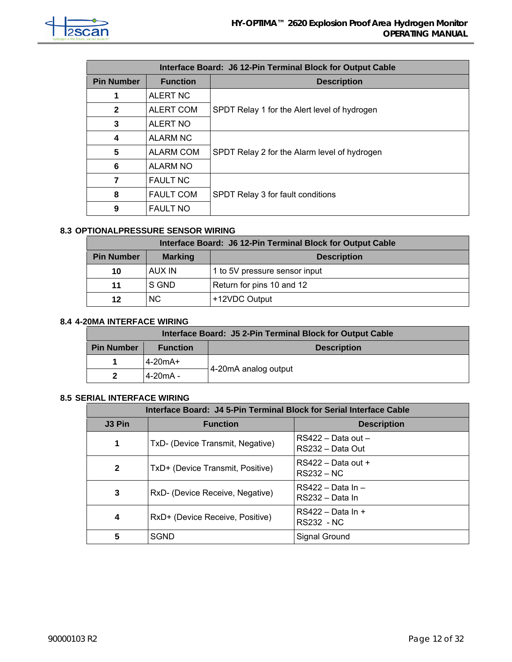

| Interface Board: J6 12-Pin Terminal Block for Output Cable |                  |                                              |  |
|------------------------------------------------------------|------------------|----------------------------------------------|--|
| <b>Pin Number</b>                                          | <b>Function</b>  | <b>Description</b>                           |  |
| 1                                                          | <b>ALERT NC</b>  |                                              |  |
| $\mathbf{2}$                                               | ALERT COM        | SPDT Relay 1 for the Alert level of hydrogen |  |
| 3                                                          | <b>ALERT NO</b>  |                                              |  |
| 4                                                          | <b>ALARM NC</b>  |                                              |  |
| 5                                                          | <b>ALARM COM</b> | SPDT Relay 2 for the Alarm level of hydrogen |  |
| 6                                                          | ALARM NO         |                                              |  |
| 7                                                          | <b>FAULT NC</b>  |                                              |  |
| 8                                                          | <b>FAULT COM</b> | SPDT Relay 3 for fault conditions            |  |
| 9                                                          | <b>FAULT NO</b>  |                                              |  |

### **8.3 OPTIONALPRESSURE SENSOR WIRING**

|                   | Interface Board: J6 12-Pin Terminal Block for Output Cable |                               |  |
|-------------------|------------------------------------------------------------|-------------------------------|--|
| <b>Pin Number</b> | <b>Marking</b>                                             | <b>Description</b>            |  |
| 10                | AUX IN                                                     | 1 to 5V pressure sensor input |  |
| 11                | S GND                                                      | Return for pins 10 and 12     |  |
| $12 \,$           | NC.                                                        | +12VDC Output                 |  |

# **8.4 4-20MA INTERFACE WIRING**

| Interface Board: J5 2-Pin Terminal Block for Output Cable |                 |                      |  |
|-----------------------------------------------------------|-----------------|----------------------|--|
| <b>Pin Number</b>                                         | <b>Function</b> | <b>Description</b>   |  |
|                                                           | l4-20mA+        | 4-20mA analog output |  |
| 2                                                         | l 4-20mA -      |                      |  |

# **8.5 SERIAL INTERFACE WIRING**

| Interface Board: J4 5-Pin Terminal Block for Serial Interface Cable |                                  |                                          |  |  |
|---------------------------------------------------------------------|----------------------------------|------------------------------------------|--|--|
| J <sub>3</sub> Pin                                                  | <b>Function</b>                  | <b>Description</b>                       |  |  |
| 1                                                                   | TxD- (Device Transmit, Negative) | $RS422 - Data out -$<br>RS232 – Data Out |  |  |
| $\mathbf{2}$                                                        | TxD+ (Device Transmit, Positive) | $RS422 - Data out +$<br>$RS232 - NC$     |  |  |
| 3                                                                   | RxD- (Device Receive, Negative)  | $RS422 - Data In -$<br>RS232 – Data In   |  |  |
| 4                                                                   | RxD+ (Device Receive, Positive)  | $RS422 - Data In +$<br><b>RS232 - NC</b> |  |  |
| 5                                                                   | <b>SGND</b>                      | Signal Ground                            |  |  |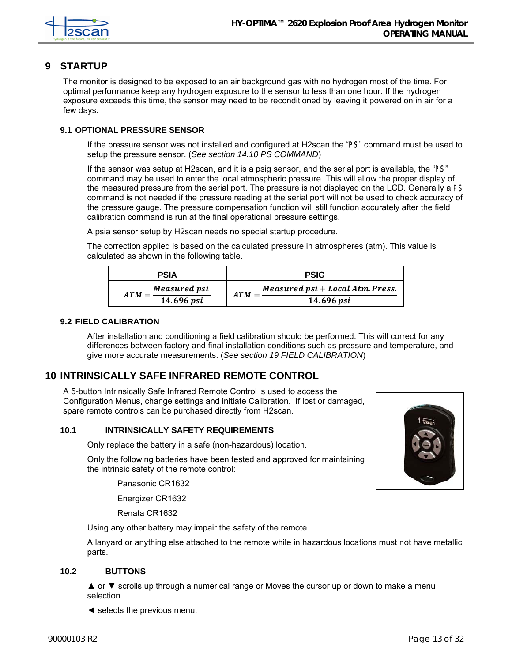

### **9 STARTUP**

The monitor is designed to be exposed to an air background gas with no hydrogen most of the time. For optimal performance keep any hydrogen exposure to the sensor to less than one hour. If the hydrogen exposure exceeds this time, the sensor may need to be reconditioned by leaving it powered on in air for a few days.

#### **9.1 OPTIONAL PRESSURE SENSOR**

If the pressure sensor was not installed and configured at H2scan the "PS" command must be used to setup the pressure sensor. (*See section 14.10 PS COMMAND*)

If the sensor was setup at H2scan, and it is a psig sensor, and the serial port is available, the "PS" command may be used to enter the local atmospheric pressure. This will allow the proper display of the measured pressure from the serial port. The pressure is not displayed on the LCD. Generally a PS command is not needed if the pressure reading at the serial port will not be used to check accuracy of the pressure gauge. The pressure compensation function will still function accurately after the field calibration command is run at the final operational pressure settings.

A psia sensor setup by H2scan needs no special startup procedure.

The correction applied is based on the calculated pressure in atmospheres (atm). This value is calculated as shown in the following table.

| <b>PSIA</b>                | <b>PSIG</b>                                    |
|----------------------------|------------------------------------------------|
| Measured psi<br><b>ATM</b> | Measured psi + Local Atm. Press.<br><b>ATM</b> |
| 14.696 psi                 | 14.696 psi                                     |

#### **9.2 FIELD CALIBRATION**

After installation and conditioning a field calibration should be performed. This will correct for any differences between factory and final installation conditions such as pressure and temperature, and give more accurate measurements. (*See section 19 FIELD CALIBRATION*)

# **10 INTRINSICALLY SAFE INFRARED REMOTE CONTROL**

A 5-button Intrinsically Safe Infrared Remote Control is used to access the Configuration Menus, change settings and initiate Calibration. If lost or damaged, spare remote controls can be purchased directly from H2scan.

#### **10.1 INTRINSICALLY SAFETY REQUIREMENTS**

Only replace the battery in a safe (non-hazardous) location.

Only the following batteries have been tested and approved for maintaining the intrinsic safety of the remote control:

Panasonic CR1632

Energizer CR1632

Renata CR1632

Using any other battery may impair the safety of the remote.

A lanyard or anything else attached to the remote while in hazardous locations must not have metallic parts.

#### **10.2 BUTTONS**

▲ or ▼ scrolls up through a numerical range or Moves the cursor up or down to make a menu selection.

◄ selects the previous menu.

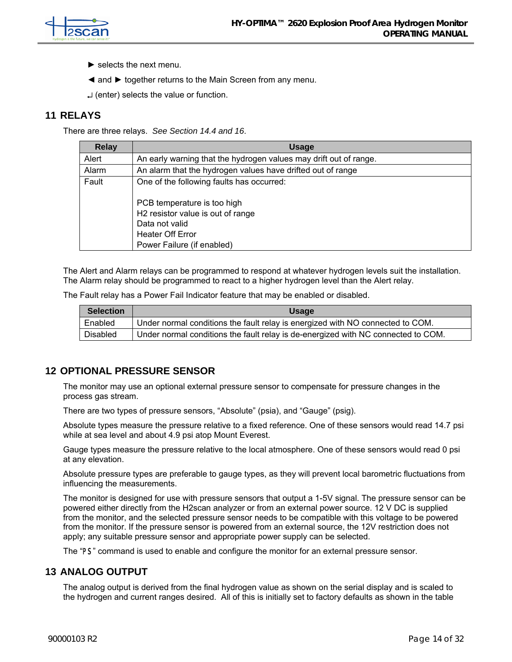

- $\blacktriangleright$  selects the next menu.
- ◄ and ► together returns to the Main Screen from any menu.
- (enter) selects the value or function.

# **11 RELAYS**

There are three relays. *See Section 14.4 and 16*.

| <b>Relay</b> | Usage                                                                                                                                       |
|--------------|---------------------------------------------------------------------------------------------------------------------------------------------|
| Alert        | An early warning that the hydrogen values may drift out of range.                                                                           |
| Alarm        | An alarm that the hydrogen values have drifted out of range                                                                                 |
| Fault        | One of the following faults has occurred:                                                                                                   |
|              | PCB temperature is too high<br>H2 resistor value is out of range<br>Data not valid<br><b>Heater Off Error</b><br>Power Failure (if enabled) |

The Alert and Alarm relays can be programmed to respond at whatever hydrogen levels suit the installation. The Alarm relay should be programmed to react to a higher hydrogen level than the Alert relay.

The Fault relay has a Power Fail Indicator feature that may be enabled or disabled.

| <b>Selection</b> | <b>Usage</b>                                                                      |
|------------------|-----------------------------------------------------------------------------------|
| Enabled          | Under normal conditions the fault relay is energized with NO connected to COM.    |
| Disabled         | Under normal conditions the fault relay is de-energized with NC connected to COM. |

# **12 OPTIONAL PRESSURE SENSOR**

The monitor may use an optional external pressure sensor to compensate for pressure changes in the process gas stream.

There are two types of pressure sensors, "Absolute" (psia), and "Gauge" (psig).

Absolute types measure the pressure relative to a fixed reference. One of these sensors would read 14.7 psi while at sea level and about 4.9 psi atop Mount Everest.

Gauge types measure the pressure relative to the local atmosphere. One of these sensors would read 0 psi at any elevation.

Absolute pressure types are preferable to gauge types, as they will prevent local barometric fluctuations from influencing the measurements.

The monitor is designed for use with pressure sensors that output a 1-5V signal. The pressure sensor can be powered either directly from the H2scan analyzer or from an external power source. 12 V DC is supplied from the monitor, and the selected pressure sensor needs to be compatible with this voltage to be powered from the monitor. If the pressure sensor is powered from an external source, the 12V restriction does not apply; any suitable pressure sensor and appropriate power supply can be selected.

The "PS" command is used to enable and configure the monitor for an external pressure sensor.

# **13 ANALOG OUTPUT**

The analog output is derived from the final hydrogen value as shown on the serial display and is scaled to the hydrogen and current ranges desired. All of this is initially set to factory defaults as shown in the table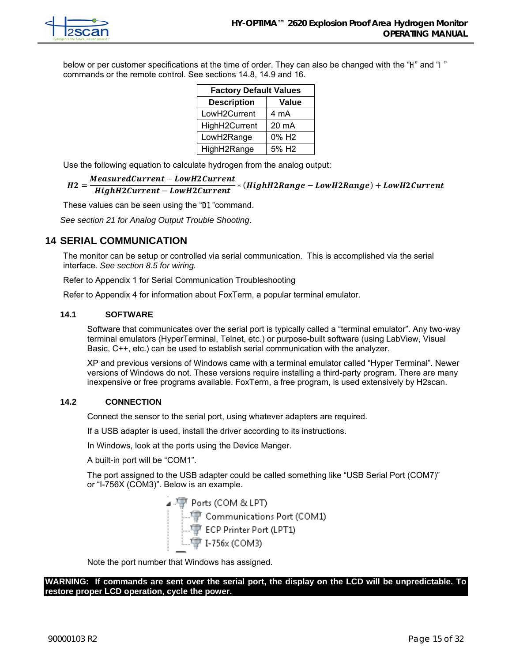

below or per customer specifications at the time of order. They can also be changed with the "H" and "I" commands or the remote control. See sections 14.8, 14.9 and 16.

| <b>Factory Default Values</b> |                   |
|-------------------------------|-------------------|
| <b>Description</b>            | Value             |
| LowH2Current                  | 4 mA              |
| HighH2Current                 | 20 mA             |
| LowH2Range                    | 0% H <sub>2</sub> |
| HighH2Range                   | 5% H <sub>2</sub> |

Use the following equation to calculate hydrogen from the analog output:

# $H2 =$

# MeasuredCurrent – LowH2Current<br>∏HighH2Current – LowH2Current

These values can be seen using the "D1"command.

*See section 21 for Analog Output Trouble Shooting*.

# **14 SERIAL COMMUNICATION**

The monitor can be setup or controlled via serial communication. This is accomplished via the serial interface. *See section 8.5 for wiring.* 

Refer to Appendix 1 for Serial Communication Troubleshooting

Refer to Appendix 4 for information about FoxTerm, a popular terminal emulator.

#### **14.1 SOFTWARE**

Software that communicates over the serial port is typically called a "terminal emulator". Any two-way terminal emulators (HyperTerminal, Telnet, etc.) or purpose-built software (using LabView, Visual Basic, C++, etc.) can be used to establish serial communication with the analyzer.

XP and previous versions of Windows came with a terminal emulator called "Hyper Terminal". Newer versions of Windows do not. These versions require installing a third-party program. There are many inexpensive or free programs available. FoxTerm, a free program, is used extensively by H2scan.

#### **14.2 CONNECTION**

Connect the sensor to the serial port, using whatever adapters are required.

If a USB adapter is used, install the driver according to its instructions.

In Windows, look at the ports using the Device Manger.

A built-in port will be "COM1".

The port assigned to the USB adapter could be called something like "USB Serial Port (COM7)" or "I-756X (COM3)". Below is an example.

> ⊿『『Ports (COM & LPT) France (COM & LPT)<br>
> France Communications Port (COM1)<br>
> France Printer Port (LPT1)<br>
> France COM3)

Note the port number that Windows has assigned.

**WARNING: If commands are sent over the serial port, the display on the LCD will be unpredictable. To restore proper LCD operation, cycle the power.**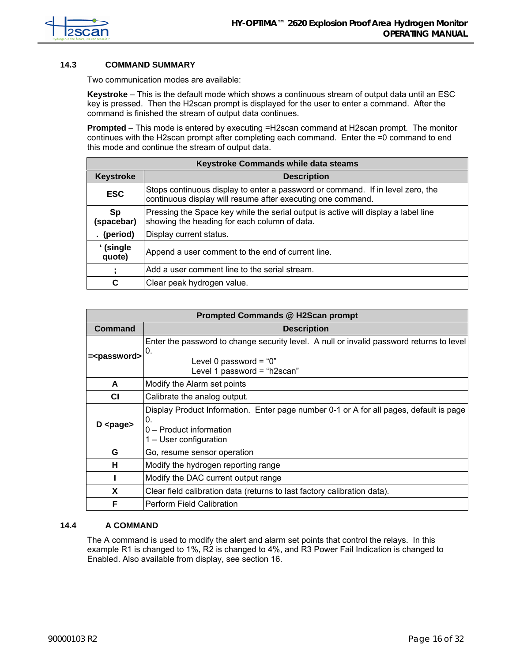

#### **14.3 COMMAND SUMMARY**

Two communication modes are available:

**Keystroke** – This is the default mode which shows a continuous stream of output data until an ESC key is pressed. Then the H2scan prompt is displayed for the user to enter a command. After the command is finished the stream of output data continues.

**Prompted** – This mode is entered by executing =H2scan command at H2scan prompt. The monitor continues with the H2scan prompt after completing each command. Enter the =0 command to end this mode and continue the stream of output data.

| Keystroke Commands while data steams |                                                                                                                                               |
|--------------------------------------|-----------------------------------------------------------------------------------------------------------------------------------------------|
| <b>Keystroke</b>                     | <b>Description</b>                                                                                                                            |
| <b>ESC</b>                           | Stops continuous display to enter a password or command. If in level zero, the<br>continuous display will resume after executing one command. |
| <b>Sp</b><br>(spacebar)              | Pressing the Space key while the serial output is active will display a label line<br>showing the heading for each column of data.            |
| (period)                             | Display current status.                                                                                                                       |
| (single<br>quote)                    | Append a user comment to the end of current line.                                                                                             |
|                                      | Add a user comment line to the serial stream.                                                                                                 |
| C                                    | Clear peak hydrogen value.                                                                                                                    |

| Prompted Commands @ H2Scan prompt |                                                                                                                                                         |  |
|-----------------------------------|---------------------------------------------------------------------------------------------------------------------------------------------------------|--|
| Command                           | <b>Description</b>                                                                                                                                      |  |
| = <password></password>           | Enter the password to change security level. A null or invalid password returns to level<br>O.<br>Level 0 password = "0"<br>Level 1 password = "h2scan" |  |
| A                                 | Modify the Alarm set points                                                                                                                             |  |
| <b>CI</b>                         | Calibrate the analog output.                                                                                                                            |  |
| $D$ <page></page>                 | Display Product Information. Enter page number 0-1 or A for all pages, default is page<br>0.<br>0 - Product information<br>1 - User configuration       |  |
| G                                 | Go, resume sensor operation                                                                                                                             |  |
| н                                 | Modify the hydrogen reporting range                                                                                                                     |  |
|                                   | Modify the DAC current output range                                                                                                                     |  |
| X                                 | Clear field calibration data (returns to last factory calibration data).                                                                                |  |
| F                                 | <b>Perform Field Calibration</b>                                                                                                                        |  |

#### **14.4 A COMMAND**

The A command is used to modify the alert and alarm set points that control the relays. In this example R1 is changed to 1%, R2 is changed to 4%, and R3 Power Fail Indication is changed to Enabled. Also available from display, see section 16.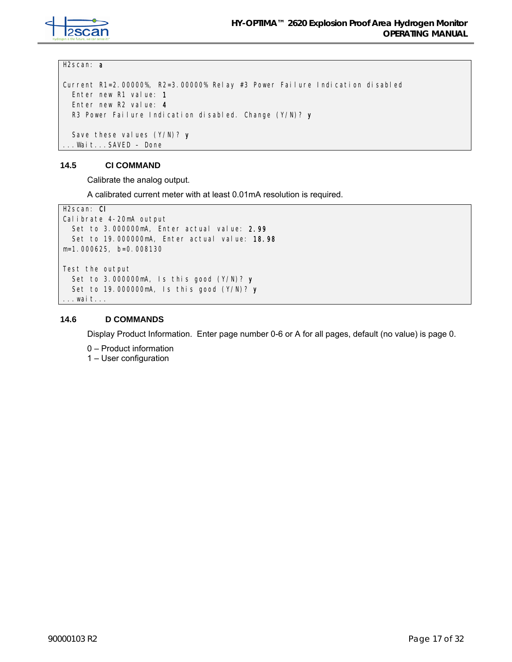

H2scan: a

```
Current R1=2.00000%, R2=3.00000% Relay #3 Power Failure Indication disabled 
  Enter new R1 value: 1
  Enter new R2 value: 4
 R3 Power Failure Indication disabled. Change (Y/N)? y
 Save these values (Y/N)? y
...Wait...SAVED – Done
```
#### **14.5 CI COMMAND**

Calibrate the analog output.

A calibrated current meter with at least 0.01mA resolution is required.

```
H<sub>2</sub>scan: CI
Calibrate 4-20mA output 
  Set to 3.000000mA, Enter actual value: 2.99
   Set to 19.000000mA, Enter actual value: 18.98
m=1.000625, b=0.008130 
Test the output 
   Set to 3.000000mA, Is this good (Y/N)? y
   Set to 19.000000mA, Is this good (Y/N)? y
...wait...
```
#### **14.6 D COMMANDS**

Display Product Information. Enter page number 0-6 or A for all pages, default (no value) is page 0.

0 – Product information

1 – User configuration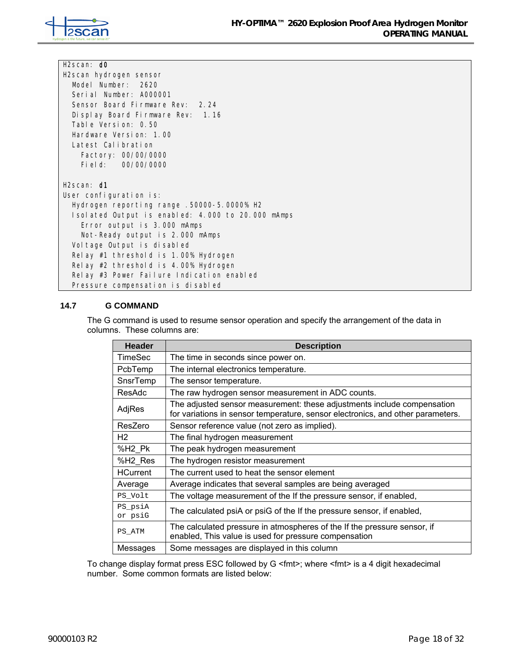

| $H2scan:$ $d0$                                     |
|----------------------------------------------------|
| H2scan hydrogen sensor                             |
| Model Number:<br>2620                              |
| Serial Number: A000001                             |
| Sensor Board Firmware Rev: 2.24                    |
| Display Board Firmware Rev: 1.16                   |
| Table Version: 0.50                                |
| Hardware Version: 1.00                             |
| Latest Calibration                                 |
| Factory: 00/00/0000                                |
| Field: 00/00/0000                                  |
|                                                    |
| H2scan: d1                                         |
| User configuration is:                             |
| Hydrogen reporting range .50000-5.0000% H2         |
| I solated Output is enabled: 4.000 to 20.000 mAmps |
| Error output is 3.000 mAmps                        |
| Not-Ready output is 2.000 mAmps                    |
| Voltage Output is disabled                         |
| Relay $#1$ threshold is 1.00% Hydrogen             |
| Relay $#2$ threshold is 4.00% Hydrogen             |
| Relay #3 Power Failure Indication enabled          |
| Pressure compensation is disabled                  |

#### **14.7 G COMMAND**

The G command is used to resume sensor operation and specify the arrangement of the data in columns. These columns are:

| <b>Header</b>      | <b>Description</b>                                                                                                                                         |  |
|--------------------|------------------------------------------------------------------------------------------------------------------------------------------------------------|--|
| TimeSec            | The time in seconds since power on.                                                                                                                        |  |
| PcbTemp            | The internal electronics temperature.                                                                                                                      |  |
| SnsrTemp           | The sensor temperature.                                                                                                                                    |  |
| ResAdc             | The raw hydrogen sensor measurement in ADC counts.                                                                                                         |  |
| AdjRes             | The adjusted sensor measurement: these adjustments include compensation<br>for variations in sensor temperature, sensor electronics, and other parameters. |  |
| ResZero            | Sensor reference value (not zero as implied).                                                                                                              |  |
| H <sub>2</sub>     | The final hydrogen measurement                                                                                                                             |  |
| %H2 Pk             | The peak hydrogen measurement                                                                                                                              |  |
| %H2 Res            | The hydrogen resistor measurement                                                                                                                          |  |
| <b>HCurrent</b>    | The current used to heat the sensor element                                                                                                                |  |
| Average            | Average indicates that several samples are being averaged                                                                                                  |  |
| PS Volt            | The voltage measurement of the If the pressure sensor, if enabled,                                                                                         |  |
| PS_psiA<br>or psiG | The calculated psiA or psiG of the If the pressure sensor, if enabled,                                                                                     |  |
| PS_ATM             | The calculated pressure in atmospheres of the If the pressure sensor, if<br>enabled, This value is used for pressure compensation                          |  |
| Messages           | Some messages are displayed in this column                                                                                                                 |  |

To change display format press ESC followed by G <fmt>; where <fmt> is a 4 digit hexadecimal number. Some common formats are listed below: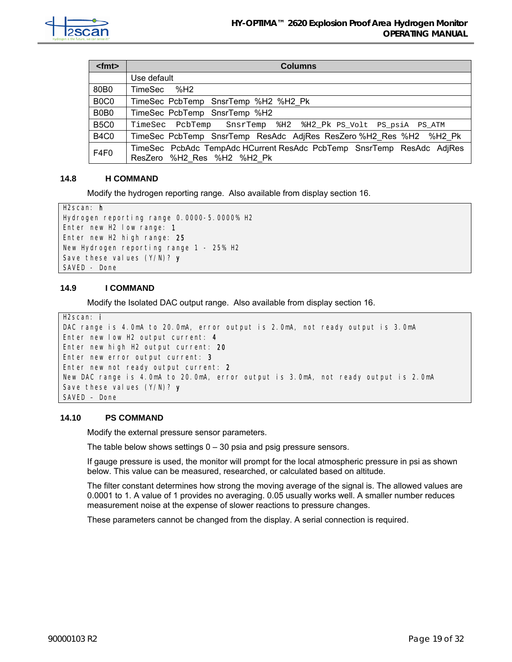

| $1$                           | <b>Columns</b>                                                                                      |
|-------------------------------|-----------------------------------------------------------------------------------------------------|
|                               | Use default                                                                                         |
| 80B0                          | TimeSec %H2                                                                                         |
| B <sub>0</sub> C <sub>0</sub> | TimeSec PcbTemp SnsrTemp %H2 %H2 Pk                                                                 |
| B0B0                          | TimeSec PcbTemp SnsrTemp %H2                                                                        |
| <b>B5C0</b>                   | TimeSec PcbTemp SnsrTemp %H2 %H2_Pk PS_Volt PS_psiA PS_ATM                                          |
| <b>B4C0</b>                   | TimeSec PcbTemp SnsrTemp ResAdc AdjRes ResZero %H2 Res %H2 %H2 Pk                                   |
| F4F0                          | TimeSec PcbAdc TempAdc HCurrent ResAdc PcbTemp SnsrTemp ResAdc AdjRes<br>ResZero %H2 Res %H2 %H2 Pk |

#### **14.8 H COMMAND**

Modify the hydrogen reporting range. Also available from display section 16.

H2scan: h Hydrogen reporting range 0.0000-5.0000% H2 Enter new H2 low range: 1 Enter new H2 high range: 25 New Hydrogen reporting range 1 - 25% H2 Save these values (Y/N)? y SAVED - Done

#### **14.9 I COMMAND**

Modify the Isolated DAC output range. Also available from display section 16.

```
H<sub>2</sub>scan: i
DAC range is 4.0mA to 20.0mA, error output is 2.0mA, not ready output is 3.0mA 
Enter new low H2 output current: 4
Enter new high H2 output current: 20
Enter new error output current: 3
Enter new not ready output current: 2
New DAC range is 4.0mA to 20.0mA, error output is 3.0mA, not ready output is 2.0mA 
Save these values (Y/N)? y
SAVED – Done
```
#### **14.10 PS COMMAND**

Modify the external pressure sensor parameters.

The table below shows settings 0 – 30 psia and psig pressure sensors.

If gauge pressure is used, the monitor will prompt for the local atmospheric pressure in psi as shown below. This value can be measured, researched, or calculated based on altitude.

The filter constant determines how strong the moving average of the signal is. The allowed values are 0.0001 to 1. A value of 1 provides no averaging. 0.05 usually works well. A smaller number reduces measurement noise at the expense of slower reactions to pressure changes.

These parameters cannot be changed from the display. A serial connection is required.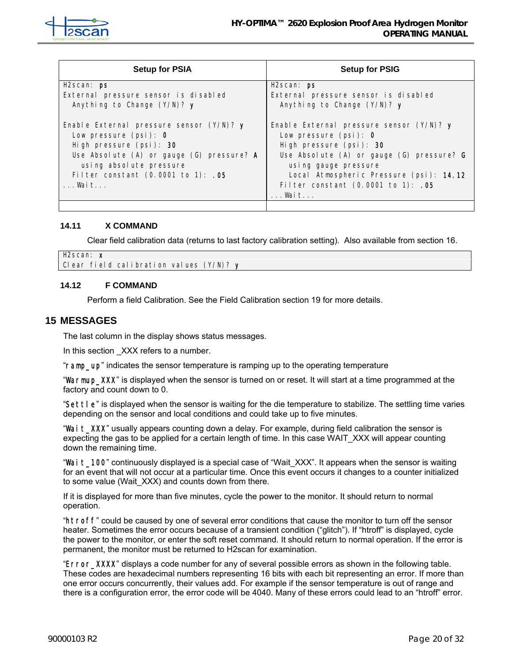

| <b>Setup for PSIA</b>                                                                                                                                                                                                               | <b>Setup for PSIG</b>                                                                                                                                                                                                                                                       |
|-------------------------------------------------------------------------------------------------------------------------------------------------------------------------------------------------------------------------------------|-----------------------------------------------------------------------------------------------------------------------------------------------------------------------------------------------------------------------------------------------------------------------------|
| $H2scan:$ $ps$<br>External pressure sensor is disabled<br>Anything to Change $(Y/N)$ ? y                                                                                                                                            | $H2scan:$ $ps$<br>External pressure sensor is disabled<br>Anything to Change $(Y/N)$ ? y                                                                                                                                                                                    |
| Enable External pressure sensor $(Y/N)$ ? y<br>Low pressure $(psi)$ : 0<br>High pressure $(ps)$ : 30<br>Use Absolute $(A)$ or gauge $(G)$ pressure? A<br>using absolute pressure<br>Filter constant $(0.0001$ to 1): $.05$<br>Wai t | Enable External pressure sensor $(Y/N)$ ? y<br>Low pressure $(psi)$ : 0<br>High pressure $(ps)$ : 30<br>Use Absolute $(A)$ or gauge $(G)$ pressure? $G$<br>using gauge pressure<br>Local Atmospheric Pressure (psi): 14.12<br>Filter constant $(0.0001$ to 1): .05<br>Wai t |
|                                                                                                                                                                                                                                     |                                                                                                                                                                                                                                                                             |

#### **14.11 X COMMAND**

Clear field calibration data (returns to last factory calibration setting). Also available from section 16.

| H2scan: $x$                                |  |
|--------------------------------------------|--|
| Clear field calibration values $(Y/N)$ ? y |  |
|                                            |  |

#### **14.12 F COMMAND**

Perform a field Calibration. See the Field Calibration section 19 for more details.

### **15 MESSAGES**

The last column in the display shows status messages.

In this section XXX refers to a number.

"ramp\_up" indicates the sensor temperature is ramping up to the operating temperature

"Warmup\_XXX" is displayed when the sensor is turned on or reset. It will start at a time programmed at the factory and count down to 0.

"Settle" is displayed when the sensor is waiting for the die temperature to stabilize. The settling time varies depending on the sensor and local conditions and could take up to five minutes.

"Wait\_XXX" usually appears counting down a delay. For example, during field calibration the sensor is expecting the gas to be applied for a certain length of time. In this case WAIT\_XXX will appear counting down the remaining time.

"Wait\_100" continuously displayed is a special case of "Wait XXX". It appears when the sensor is waiting for an event that will not occur at a particular time. Once this event occurs it changes to a counter initialized to some value (Wait\_XXX) and counts down from there.

If it is displayed for more than five minutes, cycle the power to the monitor. It should return to normal operation.

"htroff" could be caused by one of several error conditions that cause the monitor to turn off the sensor heater. Sometimes the error occurs because of a transient condition ("glitch"). If "htroff" is displayed, cycle the power to the monitor, or enter the soft reset command. It should return to normal operation. If the error is permanent, the monitor must be returned to H2scan for examination.

"Error\_XXXX" displays a code number for any of several possible errors as shown in the following table. These codes are hexadecimal numbers representing 16 bits with each bit representing an error. If more than one error occurs concurrently, their values add. For example if the sensor temperature is out of range and there is a configuration error, the error code will be 4040. Many of these errors could lead to an "htroff" error.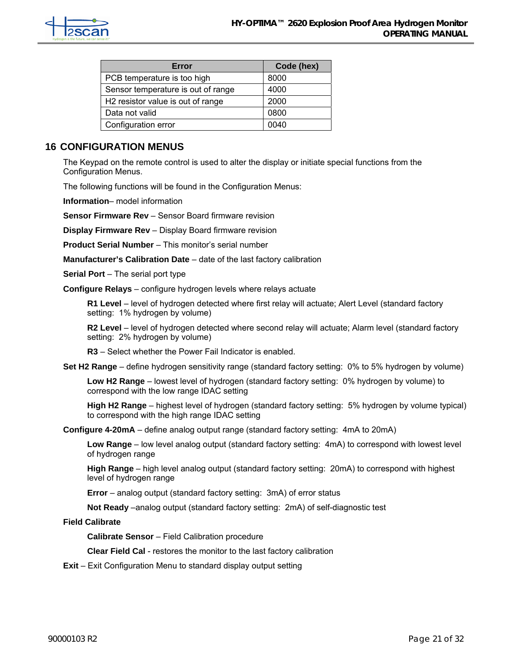

| Error                                         | Code (hex) |
|-----------------------------------------------|------------|
| PCB temperature is too high                   | 8000       |
| Sensor temperature is out of range            | 4000       |
| H <sub>2</sub> resistor value is out of range | 2000       |
| Data not valid                                | 0800       |
| Configuration error                           | 0040       |

### **16 CONFIGURATION MENUS**

The Keypad on the remote control is used to alter the display or initiate special functions from the Configuration Menus.

The following functions will be found in the Configuration Menus:

**Information**– model information

**Sensor Firmware Rev** – Sensor Board firmware revision

**Display Firmware Rev** – Display Board firmware revision

**Product Serial Number** – This monitor's serial number

**Manufacturer's Calibration Date** – date of the last factory calibration

**Serial Port** – The serial port type

**Configure Relays** – configure hydrogen levels where relays actuate

**R1 Level** – level of hydrogen detected where first relay will actuate; Alert Level (standard factory setting: 1% hydrogen by volume)

**R2 Level** – level of hydrogen detected where second relay will actuate; Alarm level (standard factory setting: 2% hydrogen by volume)

**R3** – Select whether the Power Fail Indicator is enabled.

**Set H2 Range** – define hydrogen sensitivity range (standard factory setting: 0% to 5% hydrogen by volume)

**Low H2 Range** – lowest level of hydrogen (standard factory setting: 0% hydrogen by volume) to correspond with the low range IDAC setting

**High H2 Range** – highest level of hydrogen (standard factory setting: 5% hydrogen by volume typical) to correspond with the high range IDAC setting

**Configure 4-20mA** – define analog output range (standard factory setting: 4mA to 20mA)

**Low Range** – low level analog output (standard factory setting: 4mA) to correspond with lowest level of hydrogen range

**High Range** – high level analog output (standard factory setting: 20mA) to correspond with highest level of hydrogen range

**Error** – analog output (standard factory setting: 3mA) of error status

**Not Ready** –analog output (standard factory setting: 2mA) of self-diagnostic test

#### **Field Calibrate**

**Calibrate Sensor** – Field Calibration procedure

**Clear Field Cal** - restores the monitor to the last factory calibration

**Exit** – Exit Configuration Menu to standard display output setting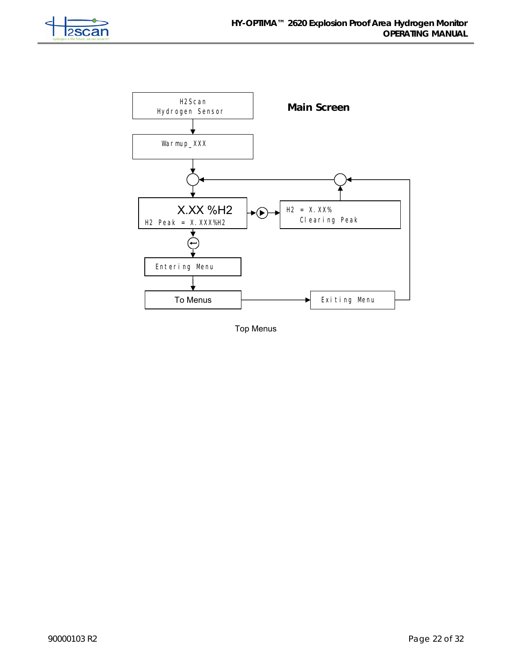



Top Menus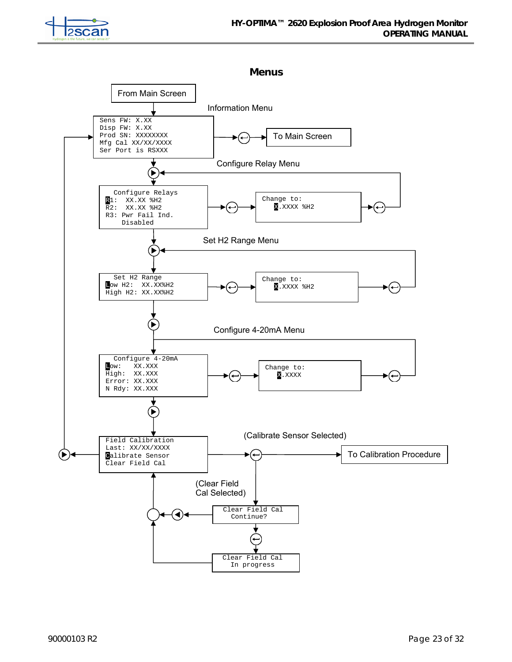

From Main Screen Information Menu Sens FW: X.XX Disp FW: X.XX Prod SN: XXXXXXXX To Main Screen $\blacktriangleright(\leftarrow)$ Mfg Cal XX/XX/XXXX Ser Port is RSXXX Configure Relay Menu  $(\blacktriangleright)$  Configure Relays Change to: R1: XX.XX %H2 **X.XXXX %H2** R2: XX.XX %H2 R3: Pwr Fail Ind. Disabled Set H2 Range Menu ь Set H2 Range Change to: Low H2: XX.XX%H2 X.XXXX %H2 High H2: XX.XX%H2 ▶ Configure 4-20mA Menu Configure 4-20mA<br>Now: XX.XXX Low: XX.XXX Change to: High: XX.XXX X.XXXX  $\blacktriangleright\!\! (\! \! \ominus\!\! )$ Error: XX.XXX N Rdy: XX.XXX  $(\blacktriangleright)$ (Calibrate Sensor Selected) Field Calibration Last: XX/XX/XXXX (▶ To Calibration Procedure Calibrate Sensor Clear Field Cal (Clear Field Cal Selected) Clear Field Cal ◀ Continue?  $\leftarrow$  Clear Field Cal In progress

**Menus**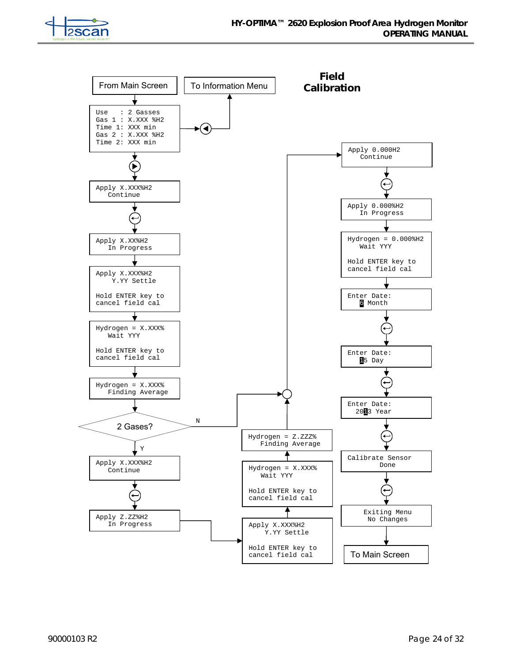

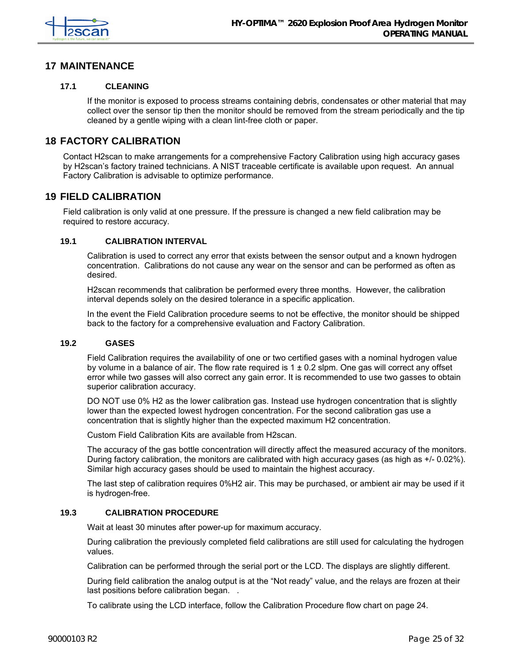

### **17 MAINTENANCE**

#### **17.1 CLEANING**

If the monitor is exposed to process streams containing debris, condensates or other material that may collect over the sensor tip then the monitor should be removed from the stream periodically and the tip cleaned by a gentle wiping with a clean lint-free cloth or paper.

### **18 FACTORY CALIBRATION**

Contact H2scan to make arrangements for a comprehensive Factory Calibration using high accuracy gases by H2scan's factory trained technicians. A NIST traceable certificate is available upon request. An annual Factory Calibration is advisable to optimize performance.

### **19 FIELD CALIBRATION**

Field calibration is only valid at one pressure. If the pressure is changed a new field calibration may be required to restore accuracy.

#### **19.1 CALIBRATION INTERVAL**

Calibration is used to correct any error that exists between the sensor output and a known hydrogen concentration. Calibrations do not cause any wear on the sensor and can be performed as often as desired.

H2scan recommends that calibration be performed every three months. However, the calibration interval depends solely on the desired tolerance in a specific application.

In the event the Field Calibration procedure seems to not be effective, the monitor should be shipped back to the factory for a comprehensive evaluation and Factory Calibration.

#### **19.2 GASES**

Field Calibration requires the availability of one or two certified gases with a nominal hydrogen value by volume in a balance of air. The flow rate required is  $1 \pm 0.2$  slpm. One gas will correct any offset error while two gasses will also correct any gain error. It is recommended to use two gasses to obtain superior calibration accuracy.

DO NOT use 0% H2 as the lower calibration gas. Instead use hydrogen concentration that is slightly lower than the expected lowest hydrogen concentration. For the second calibration gas use a concentration that is slightly higher than the expected maximum H2 concentration.

Custom Field Calibration Kits are available from H2scan.

The accuracy of the gas bottle concentration will directly affect the measured accuracy of the monitors. During factory calibration, the monitors are calibrated with high accuracy gases (as high as +/- 0.02%). Similar high accuracy gases should be used to maintain the highest accuracy.

The last step of calibration requires 0%H2 air. This may be purchased, or ambient air may be used if it is hydrogen-free.

#### **19.3 CALIBRATION PROCEDURE**

Wait at least 30 minutes after power-up for maximum accuracy.

During calibration the previously completed field calibrations are still used for calculating the hydrogen values.

Calibration can be performed through the serial port or the LCD. The displays are slightly different.

During field calibration the analog output is at the "Not ready" value, and the relays are frozen at their last positions before calibration began. .

To calibrate using the LCD interface, follow the Calibration Procedure flow chart on page 24.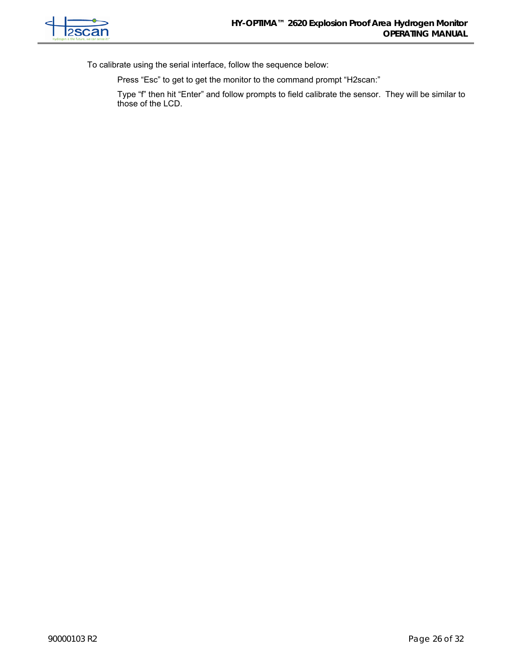

To calibrate using the serial interface, follow the sequence below:

Press "Esc" to get to get the monitor to the command prompt "H2scan:"

Type "f" then hit "Enter" and follow prompts to field calibrate the sensor. They will be similar to those of the LCD.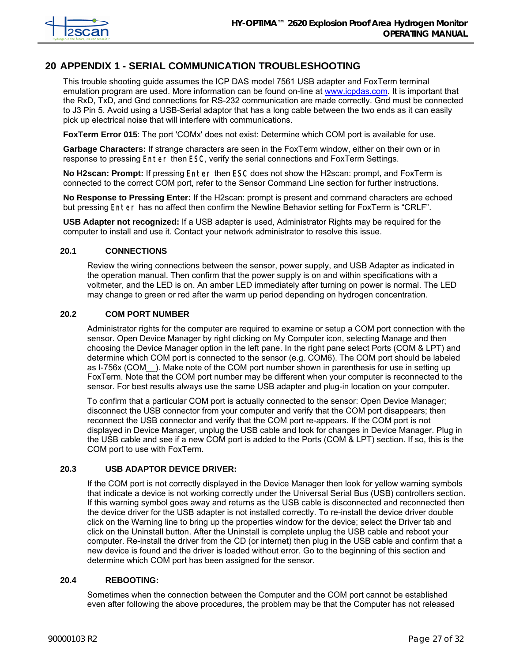

# **20 APPENDIX 1 - SERIAL COMMUNICATION TROUBLESHOOTING**

This trouble shooting guide assumes the ICP DAS model 7561 USB adapter and FoxTerm terminal emulation program are used. More information can be found on-line at www.icpdas.com. It is important that the RxD, TxD, and Gnd connections for RS-232 communication are made correctly. Gnd must be connected to J3 Pin 5. Avoid using a USB-Serial adaptor that has a long cable between the two ends as it can easily pick up electrical noise that will interfere with communications.

**FoxTerm Error 015**: The port 'COMx' does not exist: Determine which COM port is available for use.

**Garbage Characters:** If strange characters are seen in the FoxTerm window, either on their own or in response to pressing Enter then ESC, verify the serial connections and FoxTerm Settings.

**No H2scan: Prompt:** If pressing Enter then ESC does not show the H2scan: prompt, and FoxTerm is connected to the correct COM port, refer to the Sensor Command Line section for further instructions.

**No Response to Pressing Enter:** If the H2scan: prompt is present and command characters are echoed but pressing Enter has no affect then confirm the Newline Behavior setting for FoxTerm is "CRLF".

**USB Adapter not recognized:** If a USB adapter is used, Administrator Rights may be required for the computer to install and use it. Contact your network administrator to resolve this issue.

#### **20.1 CONNECTIONS**

Review the wiring connections between the sensor, power supply, and USB Adapter as indicated in the operation manual. Then confirm that the power supply is on and within specifications with a voltmeter, and the LED is on. An amber LED immediately after turning on power is normal. The LED may change to green or red after the warm up period depending on hydrogen concentration.

#### **20.2 COM PORT NUMBER**

Administrator rights for the computer are required to examine or setup a COM port connection with the sensor. Open Device Manager by right clicking on My Computer icon, selecting Manage and then choosing the Device Manager option in the left pane. In the right pane select Ports (COM & LPT) and determine which COM port is connected to the sensor (e.g. COM6). The COM port should be labeled as I-756x (COM ). Make note of the COM port number shown in parenthesis for use in setting up FoxTerm. Note that the COM port number may be different when your computer is reconnected to the sensor. For best results always use the same USB adapter and plug-in location on your computer.

To confirm that a particular COM port is actually connected to the sensor: Open Device Manager; disconnect the USB connector from your computer and verify that the COM port disappears; then reconnect the USB connector and verify that the COM port re-appears. If the COM port is not displayed in Device Manager, unplug the USB cable and look for changes in Device Manager. Plug in the USB cable and see if a new COM port is added to the Ports (COM & LPT) section. If so, this is the COM port to use with FoxTerm.

#### **20.3 USB ADAPTOR DEVICE DRIVER:**

If the COM port is not correctly displayed in the Device Manager then look for yellow warning symbols that indicate a device is not working correctly under the Universal Serial Bus (USB) controllers section. If this warning symbol goes away and returns as the USB cable is disconnected and reconnected then the device driver for the USB adapter is not installed correctly. To re-install the device driver double click on the Warning line to bring up the properties window for the device; select the Driver tab and click on the Uninstall button. After the Uninstall is complete unplug the USB cable and reboot your computer. Re-install the driver from the CD (or internet) then plug in the USB cable and confirm that a new device is found and the driver is loaded without error. Go to the beginning of this section and determine which COM port has been assigned for the sensor.

#### **20.4 REBOOTING:**

Sometimes when the connection between the Computer and the COM port cannot be established even after following the above procedures, the problem may be that the Computer has not released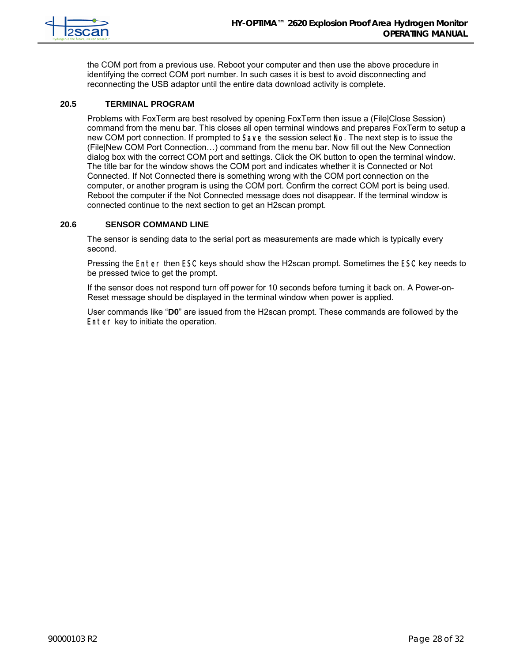



the COM port from a previous use. Reboot your computer and then use the above procedure in identifying the correct COM port number. In such cases it is best to avoid disconnecting and reconnecting the USB adaptor until the entire data download activity is complete.

#### **20.5 TERMINAL PROGRAM**

Problems with FoxTerm are best resolved by opening FoxTerm then issue a (File|Close Session) command from the menu bar. This closes all open terminal windows and prepares FoxTerm to setup a new COM port connection. If prompted to Save the session select No. The next step is to issue the (File|New COM Port Connection…) command from the menu bar. Now fill out the New Connection dialog box with the correct COM port and settings. Click the OK button to open the terminal window. The title bar for the window shows the COM port and indicates whether it is Connected or Not Connected. If Not Connected there is something wrong with the COM port connection on the computer, or another program is using the COM port. Confirm the correct COM port is being used. Reboot the computer if the Not Connected message does not disappear. If the terminal window is connected continue to the next section to get an H2scan prompt.

#### **20.6 SENSOR COMMAND LINE**

The sensor is sending data to the serial port as measurements are made which is typically every second.

Pressing the Enter then ESC keys should show the H2scan prompt. Sometimes the ESC key needs to be pressed twice to get the prompt.

If the sensor does not respond turn off power for 10 seconds before turning it back on. A Power-on-Reset message should be displayed in the terminal window when power is applied.

User commands like "**D0**" are issued from the H2scan prompt. These commands are followed by the Enter key to initiate the operation.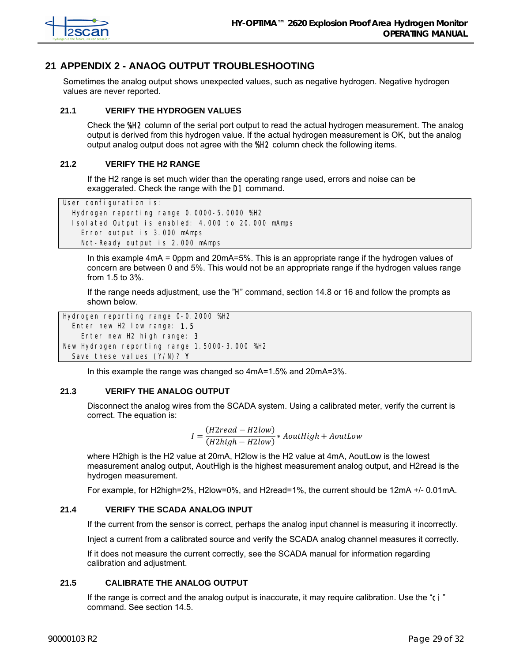

# **21 APPENDIX 2 - ANAOG OUTPUT TROUBLESHOOTING**

Sometimes the analog output shows unexpected values, such as negative hydrogen. Negative hydrogen values are never reported.

#### **21.1 VERIFY THE HYDROGEN VALUES**

Check the %H2 column of the serial port output to read the actual hydrogen measurement. The analog output is derived from this hydrogen value. If the actual hydrogen measurement is OK, but the analog output analog output does not agree with the %H2 column check the following items.

#### **21.2 VERIFY THE H2 RANGE**

If the H2 range is set much wider than the operating range used, errors and noise can be exaggerated. Check the range with the D1 command.

User configuration is:

 Hydrogen reporting range 0.0000-5.0000 %H2 Isolated Output is enabled: 4.000 to 20.000 mAmps Error output is 3.000 mAmps Not-Ready output is 2.000 mAmps

In this example 4mA = 0ppm and 20mA=5%. This is an appropriate range if the hydrogen values of concern are between 0 and 5%. This would not be an appropriate range if the hydrogen values range from 1.5 to 3%.

If the range needs adjustment, use the "H" command, section 14.8 or 16 and follow the prompts as shown below.

Hydrogen reporting range 0-0.2000 %H2 Enter new H2 low range: 1.5 Enter new H2 high range: 3 New Hydrogen reporting range 1.5000-3.000 %H2 Save these values (Y/N)? Y

In this example the range was changed so 4mA=1.5% and 20mA=3%.

#### **21.3 VERIFY THE ANALOG OUTPUT**

Disconnect the analog wires from the SCADA system. Using a calibrated meter, verify the current is correct. The equation is:

 $I = \frac{(H2read - H2low)}{(H2high - H2low)} * AoutHigh + AoutLow$ 

where H2high is the H2 value at 20mA, H2low is the H2 value at 4mA, AoutLow is the lowest measurement analog output, AoutHigh is the highest measurement analog output, and H2read is the hydrogen measurement.

For example, for H2high=2%, H2low=0%, and H2read=1%, the current should be 12mA +/- 0.01mA.

#### **21.4 VERIFY THE SCADA ANALOG INPUT**

If the current from the sensor is correct, perhaps the analog input channel is measuring it incorrectly.

Inject a current from a calibrated source and verify the SCADA analog channel measures it correctly.

If it does not measure the current correctly, see the SCADA manual for information regarding calibration and adjustment.

#### **21.5 CALIBRATE THE ANALOG OUTPUT**

If the range is correct and the analog output is inaccurate, it may require calibration. Use the "ci" command. See section 14.5.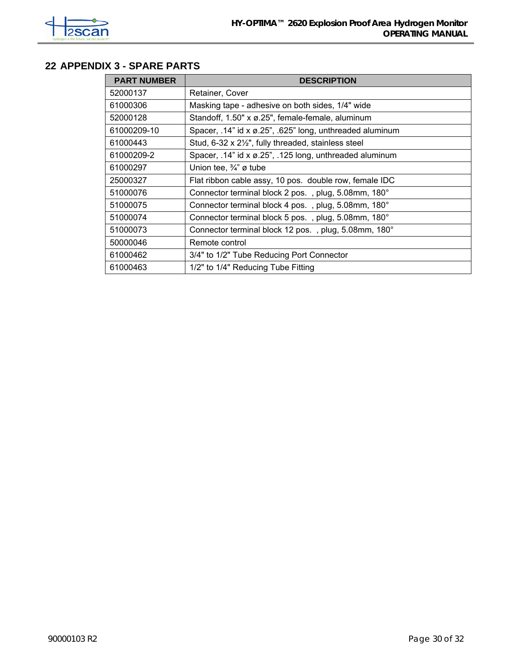

# **22 APPENDIX 3 - SPARE PARTS**

| <b>PART NUMBER</b> | <b>DESCRIPTION</b>                                       |
|--------------------|----------------------------------------------------------|
| 52000137           | Retainer, Cover                                          |
| 61000306           | Masking tape - adhesive on both sides, 1/4" wide         |
| 52000128           | Standoff, 1.50" x ø.25", female-female, aluminum         |
| 61000209-10        | Spacer, .14" id x ø.25", .625" long, unthreaded aluminum |
| 61000443           | Stud, 6-32 x 21/2", fully threaded, stainless steel      |
| 61000209-2         | Spacer, .14" id x ø.25", .125 long, unthreaded aluminum  |
| 61000297           | Union tee, $\frac{3}{4}$ " ø tube                        |
| 25000327           | Flat ribbon cable assy, 10 pos. double row, female IDC   |
| 51000076           | Connector terminal block 2 pos., plug, 5.08mm, 180°      |
| 51000075           | Connector terminal block 4 pos., plug, 5.08mm, 180°      |
| 51000074           | Connector terminal block 5 pos., plug, 5.08mm, 180°      |
| 51000073           | Connector terminal block 12 pos., plug, 5.08mm, 180°     |
| 50000046           | Remote control                                           |
| 61000462           | 3/4" to 1/2" Tube Reducing Port Connector                |
| 61000463           | 1/2" to 1/4" Reducing Tube Fitting                       |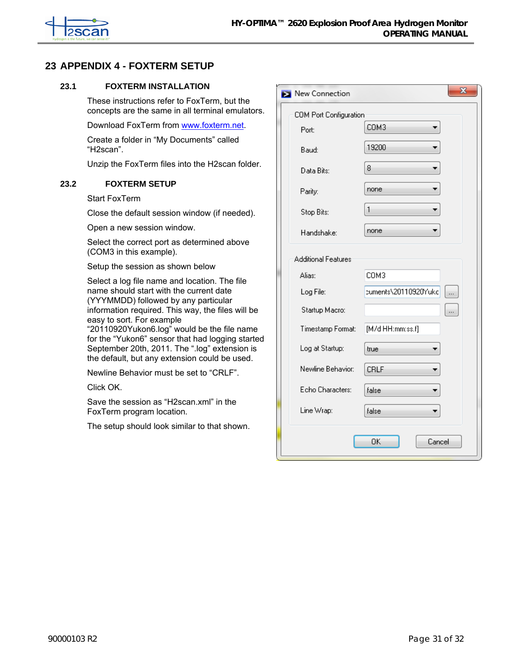

### **23 APPENDIX 4 - FOXTERM SETUP**

#### **23.1 FOXTERM INSTALLATION**

These instructions refer to FoxTerm, but the concepts are the same in all terminal emulators.

Download FoxTerm from www.foxterm.net.

Create a folder in "My Documents" called "H2scan".

Unzip the FoxTerm files into the H2scan folder.

#### **23.2 FOXTERM SETUP**

Start FoxTerm

Close the default session window (if needed).

Open a new session window.

Select the correct port as determined above (COM3 in this example).

Setup the session as shown below

Select a log file name and location. The file name should start with the current date (YYYMMDD) followed by any particular information required. This way, the files will be easy to sort. For example "20110920Yukon6.log" would be the file name for the "Yukon6" sensor that had logging started September 20th, 2011. The ".log" extension is the default, but any extension could be used.

Newline Behavior must be set to "CRLF".

Click OK.

Save the session as "H2scan.xml" in the FoxTerm program location.

The setup should look similar to that shown.

| New Connection                | $\overline{\mathbf{z}}$ |
|-------------------------------|-------------------------|
| <b>COM Port Configuration</b> |                         |
| Port:                         | COM3                    |
| Baud:                         | 19200                   |
| Data Bits:                    | 8                       |
| Parity:                       | none                    |
| Stop Bits:                    | 1                       |
| Handshake:                    | none                    |
| <b>Additional Features</b>    |                         |
| Alias:                        | COM3                    |
| Log File:                     | cuments\20110920Yukc    |
| Startup Macro:                |                         |
| Timestamp Format:             | [M/d HH:mm:ss.f]        |
| Log at Startup:               | true                    |
| Newline Behavior:             | <b>CRLF</b>             |
| Echo Characters:              | false                   |
| Line Wrap:                    | false                   |
|                               | <b>OK</b><br>Cancel     |